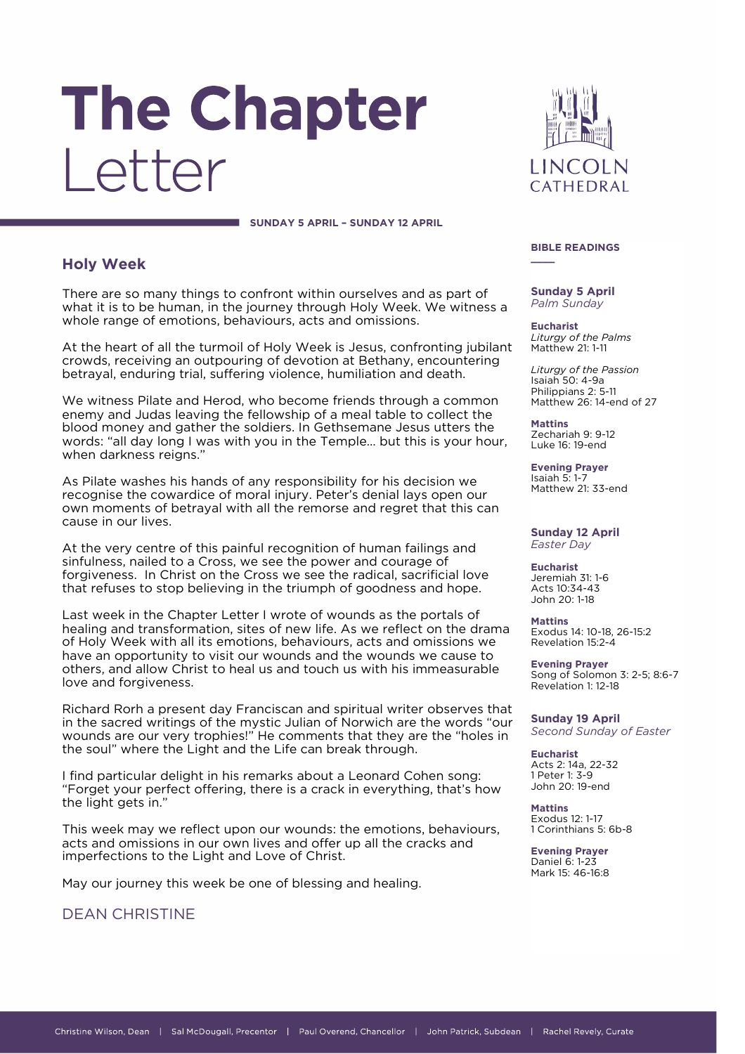# The Chapter Letter

**SUNDAY 5 APRIL – SUNDAY 12 APRIL**

# **Holy Week**

There are so many things to confront within ourselves and as part of what it is to be human, in the journey through Holy Week. We witness a whole range of emotions, behaviours, acts and omissions.

At the heart of all the turmoil of Holy Week is Jesus, confronting jubilant crowds, receiving an outpouring of devotion at Bethany, encountering betrayal, enduring trial, suffering violence, humiliation and death.

We witness Pilate and Herod, who become friends through a common enemy and Judas leaving the fellowship of a meal table to collect the blood money and gather the soldiers. In Gethsemane Jesus utters the words: "all day long I was with you in the Temple… but this is your hour, when darkness reigns."

As Pilate washes his hands of any responsibility for his decision we recognise the cowardice of moral injury. Peter's denial lays open our own moments of betrayal with all the remorse and regret that this can cause in our lives.

At the very centre of this painful recognition of human failings and sinfulness, nailed to a Cross, we see the power and courage of forgiveness. In Christ on the Cross we see the radical, sacrificial love that refuses to stop believing in the triumph of goodness and hope.

Last week in the Chapter Letter I wrote of wounds as the portals of healing and transformation, sites of new life. As we reflect on the drama of Holy Week with all its emotions, behaviours, acts and omissions we have an opportunity to visit our wounds and the wounds we cause to others, and allow Christ to heal us and touch us with his immeasurable love and forgiveness.

Richard Rorh a present day Franciscan and spiritual writer observes that in the sacred writings of the mystic Julian of Norwich are the words "our wounds are our very trophies!" He comments that they are the "holes in the soul" where the Light and the Life can break through.

I find particular delight in his remarks about a Leonard Cohen song: "Forget your perfect offering, there is a crack in everything, that's how the light gets in."

This week may we reflect upon our wounds: the emotions, behaviours, acts and omissions in our own lives and offer up all the cracks and imperfections to the Light and Love of Christ.

May our journey this week be one of blessing and healing.

DEAN CHRISTINE



#### **BIBLE READINGS \_\_\_\_**

**Sunday 5 April** *Palm Sunday*

**Eucharist** *Liturgy of the Palms* Matthew 21: 1-11

*Liturgy of the Passion* Isaiah 50: 4-9a Philippians 2: 5-11 Matthew 26: 14-end of 27

**Mattins** Zechariah 9: 9-12 Luke 16: 19-end

**Evening Prayer** Isaiah 5: 1-7 Matthew 21: 33-end

#### **Sunday 12 April** *Easter Day*

**Eucharist** Jeremiah 31: 1-6 Acts 10:34-43 John 20: 1-18

**Mattins** Exodus 14: 10-18, 26-15:2 Revelation 15:2-4

**Evening Prayer** Song of Solomon 3: 2-5; 8:6-7 Revelation 1: 12-18

**Sunday 19 April** *Second Sunday of Easter*

**Eucharist** Acts 2: 14a, 22-32 1 Peter 1: 3-9 John 20: 19-end

**Mattins** Exodus 12: 1-17 1 Corinthians 5: 6b-8

**Evening Prayer** Daniel 6: 1-23 Mark 15: 46-16:8